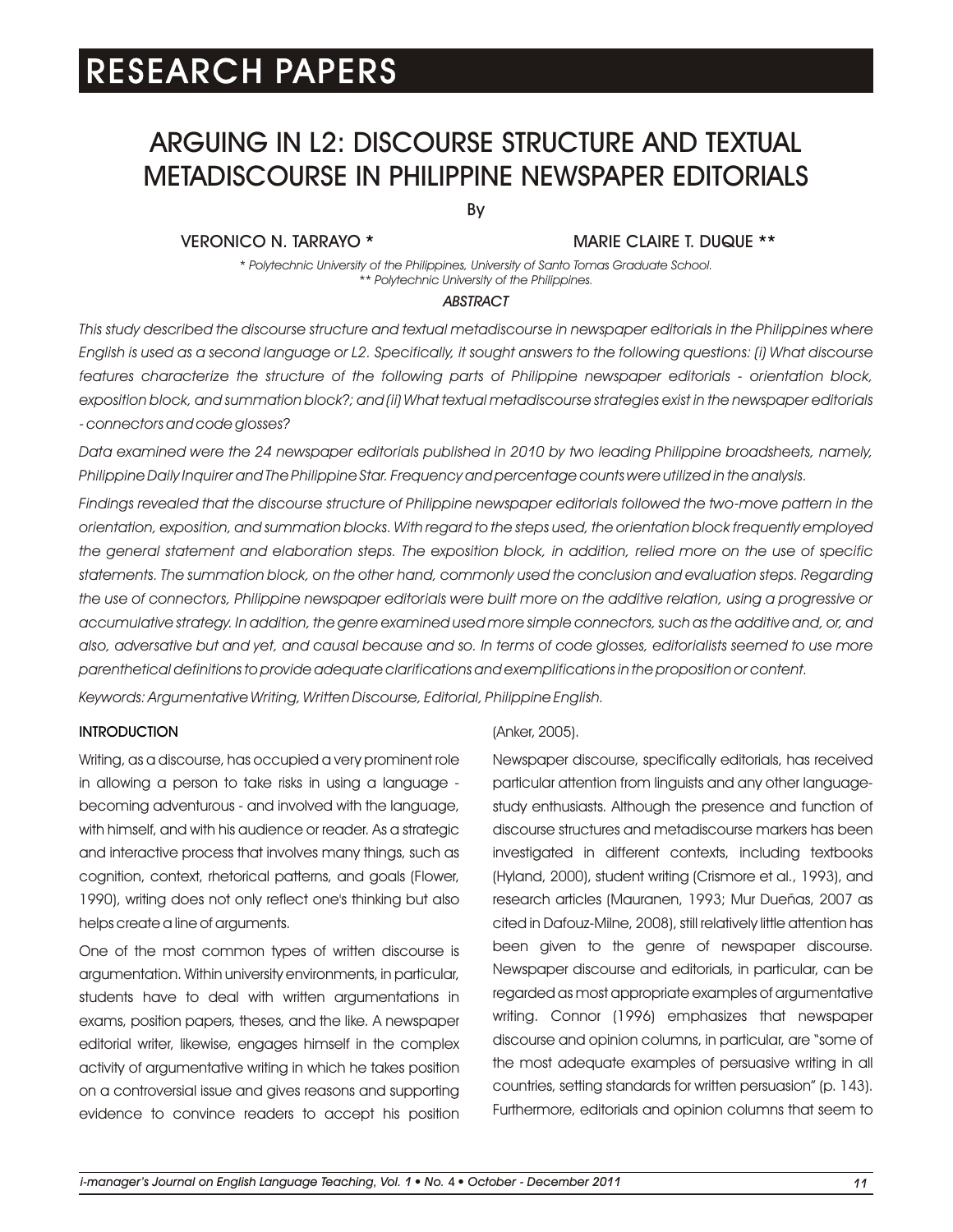# ARGUING IN L2: DISCOURSE STRUCTURE AND TEXTUAL METADISCOURSE IN PHILIPPINE NEWSPAPER EDITORIALS

By

# VERONICO N. TARRAYO \*

# MARIE CLAIRE T. DUQUE \*\*

*\* Polytechnic University of the Philippines, University of Santo Tomas Graduate School. \*\* Polytechnic University of the Philippines.*

#### *ABSTRACT*

*This study described the discourse structure and textual metadiscourse in newspaper editorials in the Philippines where English is used as a second language or L2. Specifically, it sought answers to the following questions: (i) What discourse features characterize the structure of the following parts of Philippine newspaper editorials - orientation block, exposition block, and summation block?; and (ii) What textual metadiscourse strategies exist in the newspaper editorials - connectors and code glosses?*

*Data examined were the 24 newspaper editorials published in 2010 by two leading Philippine broadsheets, namely, Philippine Daily Inquirer and The Philippine Star. Frequency and percentage counts were utilized in the analysis.*

*Findings revealed that the discourse structure of Philippine newspaper editorials followed the two-move pattern in the orientation, exposition, and summation blocks. With regard to the steps used, the orientation block frequently employed the general statement and elaboration steps. The exposition block, in addition, relied more on the use of specific*  statements. The summation block, on the other hand, commonly used the conclusion and evaluation steps. Regarding *the use of connectors, Philippine newspaper editorials were built more on the additive relation, using a progressive or accumulative strategy. In addition, the genre examined used more simple connectors, such as the additive and, or, and also, adversative but and yet, and causal because and so. In terms of code glosses, editorialists seemed to use more parenthetical definitions to provide adequate clarifications and exemplifications in the proposition or content. Keywords: Argumentative Writing, Written Discourse, Editorial, Philippine English.*

#### **INTRODUCTION**

Writing, as a discourse, has occupied a very prominent role in allowing a person to take risks in using a language becoming adventurous - and involved with the language, with himself, and with his audience or reader. As a strategic and interactive process that involves many things, such as cognition, context, rhetorical patterns, and goals (Flower, 1990), writing does not only reflect one's thinking but also helps create a line of arguments.

One of the most common types of written discourse is argumentation. Within university environments, in particular, students have to deal with written argumentations in exams, position papers, theses, and the like. A newspaper editorial writer, likewise, engages himself in the complex activity of argumentative writing in which he takes position on a controversial issue and gives reasons and supporting evidence to convince readers to accept his position

#### (Anker, 2005).

Newspaper discourse, specifically editorials, has received particular attention from linguists and any other languagestudy enthusiasts. Although the presence and function of discourse structures and metadiscourse markers has been investigated in different contexts, including textbooks (Hyland, 2000), student writing (Crismore et al., 1993), and research articles (Mauranen, 1993; Mur Dueñas, 2007 as cited in Dafouz-Milne, 2008), still relatively little attention has been given to the genre of newspaper discourse. Newspaper discourse and editorials, in particular, can be regarded as most appropriate examples of argumentative writing. Connor (1996) emphasizes that newspaper discourse and opinion columns, in particular, are "some of the most adequate examples of persuasive writing in all countries, setting standards for written persuasion" (p. 143). Furthermore, editorials and opinion columns that seem to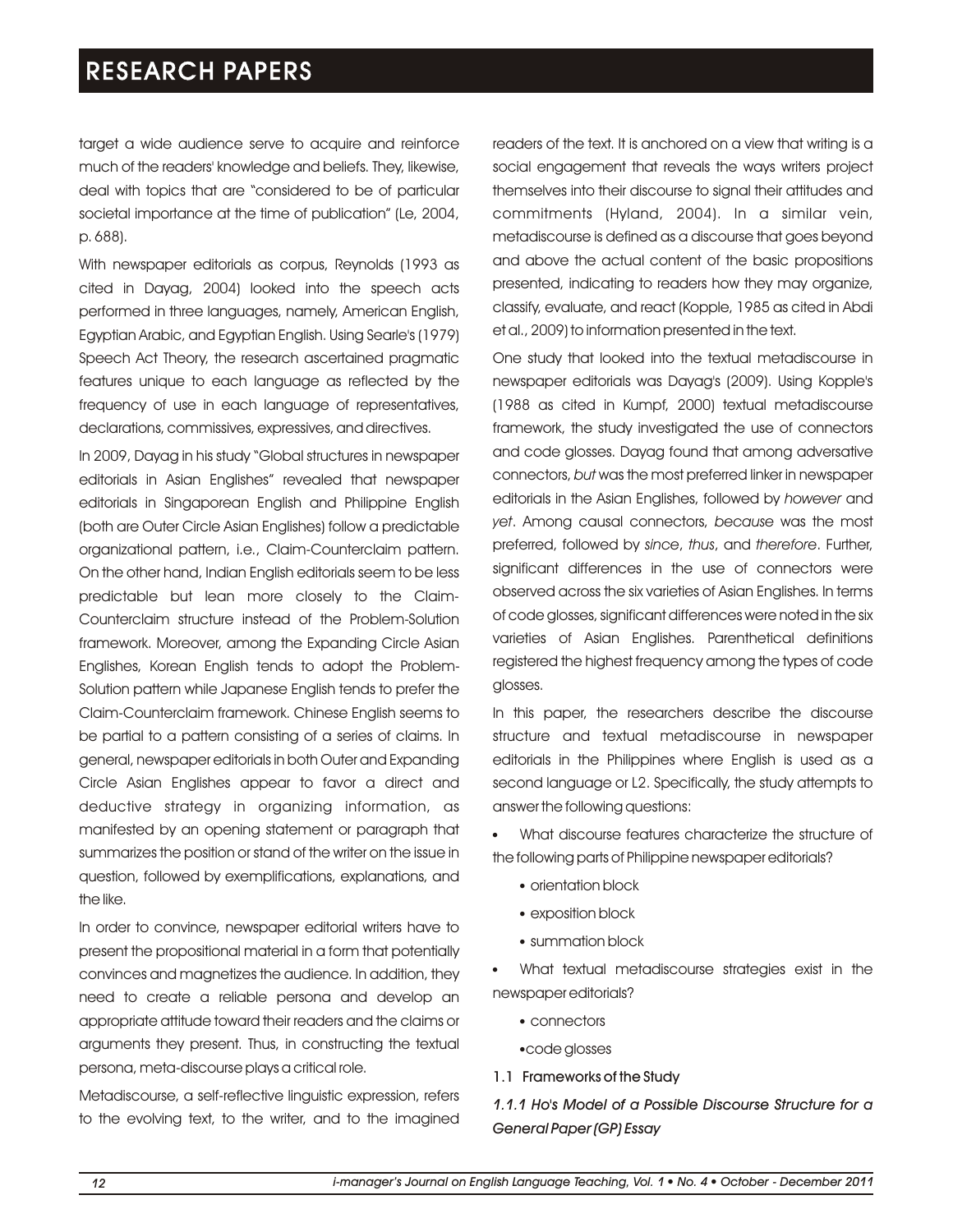target a wide audience serve to acquire and reinforce much of the readers' knowledge and beliefs. They, likewise, deal with topics that are "considered to be of particular societal importance at the time of publication" (Le, 2004, p. 688).

With newspaper editorials as corpus, Reynolds (1993 as cited in Dayag, 2004) looked into the speech acts performed in three languages, namely, American English, Egyptian Arabic, and Egyptian English. Using Searle's (1979) Speech Act Theory, the research ascertained pragmatic features unique to each language as reflected by the frequency of use in each language of representatives, declarations, commissives, expressives, and directives.

In 2009, Dayag in his study "Global structures in newspaper editorials in Asian Englishes" revealed that newspaper editorials in Singaporean English and Philippine English (both are Outer Circle Asian Englishes) follow a predictable organizational pattern, i.e., Claim-Counterclaim pattern. On the other hand, Indian English editorials seem to be less predictable but lean more closely to the Claim-Counterclaim structure instead of the Problem-Solution framework. Moreover, among the Expanding Circle Asian Englishes, Korean English tends to adopt the Problem-Solution pattern while Japanese English tends to prefer the Claim-Counterclaim framework. Chinese English seems to be partial to a pattern consisting of a series of claims. In general, newspaper editorials in both Outer and Expanding Circle Asian Englishes appear to favor a direct and deductive strategy in organizing information, as manifested by an opening statement or paragraph that summarizes the position or stand of the writer on the issue in question, followed by exemplifications, explanations, and the like.

In order to convince, newspaper editorial writers have to present the propositional material in a form that potentially convinces and magnetizes the audience. In addition, they need to create a reliable persona and develop an appropriate attitude toward their readers and the claims or arguments they present. Thus, in constructing the textual persona, meta-discourse plays a critical role.

Metadiscourse, a self-reflective linguistic expression, refers to the evolving text, to the writer, and to the imagined readers of the text. It is anchored on a view that writing is a social engagement that reveals the ways writers project themselves into their discourse to signal their attitudes and commitments (Hyland, 2004). In a similar vein, metadiscourse is defined as a discourse that goes beyond and above the actual content of the basic propositions presented, indicating to readers how they may organize, classify, evaluate, and react (Kopple, 1985 as cited in Abdi et al., 2009) to information presented in the text.

One study that looked into the textual metadiscourse in newspaper editorials was Dayag's (2009). Using Kopple's (1988 as cited in Kumpf, 2000) textual metadiscourse framework, the study investigated the use of connectors and code glosses. Dayag found that among adversative connectors, *but* was the most preferred linker in newspaper editorials in the Asian Englishes, followed by *however* and *yet*. Among causal connectors, *because* was the most preferred, followed by *since*, *thus*, and *therefore*. Further, significant differences in the use of connectors were observed across the six varieties of Asian Englishes. In terms of code glosses, significant differences were noted in the six varieties of Asian Englishes. Parenthetical definitions registered the highest frequency among the types of code glosses.

In this paper, the researchers describe the discourse structure and textual metadiscourse in newspaper editorials in the Philippines where English is used as a second language or L2. Specifically, the study attempts to answer the following questions:

What discourse features characterize the structure of l the following parts of Philippine newspaper editorials?

- orientation block
- exposition block
- summation block l

What textual metadiscourse strategies exist in the l newspaper editorials?

- connectors
- code glosses l
- 1.1 Frameworks of the Study

*1.1.1 Ho's Model of a Possible Discourse Structure for a General Paper (GP) Essay*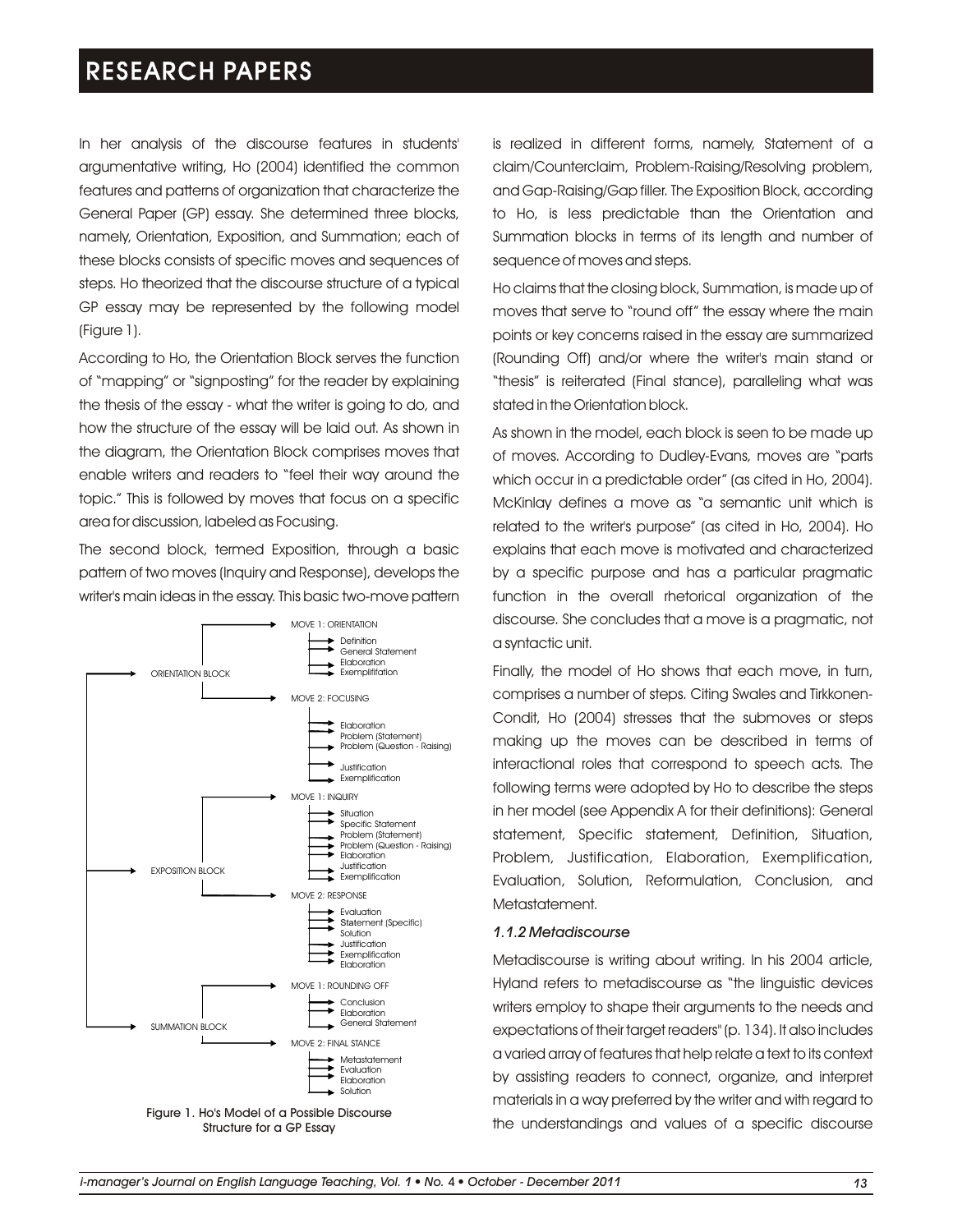In her analysis of the discourse features in students' argumentative writing, Ho (2004) identified the common features and patterns of organization that characterize the General Paper (GP) essay. She determined three blocks, namely, Orientation, Exposition, and Summation; each of these blocks consists of specific moves and sequences of steps. Ho theorized that the discourse structure of a typical GP essay may be represented by the following model (Figure 1).

According to Ho, the Orientation Block serves the function of "mapping" or "signposting" for the reader by explaining the thesis of the essay - what the writer is going to do, and how the structure of the essay will be laid out. As shown in the diagram, the Orientation Block comprises moves that enable writers and readers to "feel their way around the topic." This is followed by moves that focus on a specific area for discussion, labeled as Focusing.

The second block, termed Exposition, through a basic pattern of two moves (Inquiry and Response), develops the writer's main ideas in the essay. This basic two-move pattern





is realized in different forms, namely, Statement of a claim/Counterclaim, Problem-Raising/Resolving problem, and Gap-Raising/Gap filler. The Exposition Block, according to Ho, is less predictable than the Orientation and Summation blocks in terms of its length and number of sequence of moves and steps.

Ho claims that the closing block, Summation, is made up of moves that serve to "round off" the essay where the main points or key concerns raised in the essay are summarized (Rounding Off) and/or where the writer's main stand or "thesis" is reiterated (Final stance), paralleling what was stated in the Orientation block.

As shown in the model, each block is seen to be made up of moves. According to Dudley-Evans, moves are "parts which occur in a predictable order" (as cited in Ho, 2004). McKinlay defines a move as "a semantic unit which is related to the writer's purpose" (as cited in Ho, 2004). Ho explains that each move is motivated and characterized by a specific purpose and has a particular pragmatic function in the overall rhetorical organization of the discourse. She concludes that a move is a pragmatic, not a syntactic unit.

Finally, the model of Ho shows that each move, in turn, comprises a number of steps. Citing Swales and Tirkkonen-Condit, Ho (2004) stresses that the submoves or steps making up the moves can be described in terms of interactional roles that correspond to speech acts. The following terms were adopted by Ho to describe the steps in her model (see Appendix A for their definitions): General statement, Specific statement, Definition, Situation, Problem, Justification, Elaboration, Exemplification, Evaluation, Solution, Reformulation, Conclusion, and Metastatement.

# *1.1.2 Metadiscourse*

Metadiscourse is writing about writing. In his 2004 article, Hyland refers to metadiscourse as "the linguistic devices writers employ to shape their arguments to the needs and expectations of their target readers" (p. 134). It also includes a varied array of features that help relate a text to its context by assisting readers to connect, organize, and interpret materials in a way preferred by the writer and with regard to the understandings and values of a specific discourse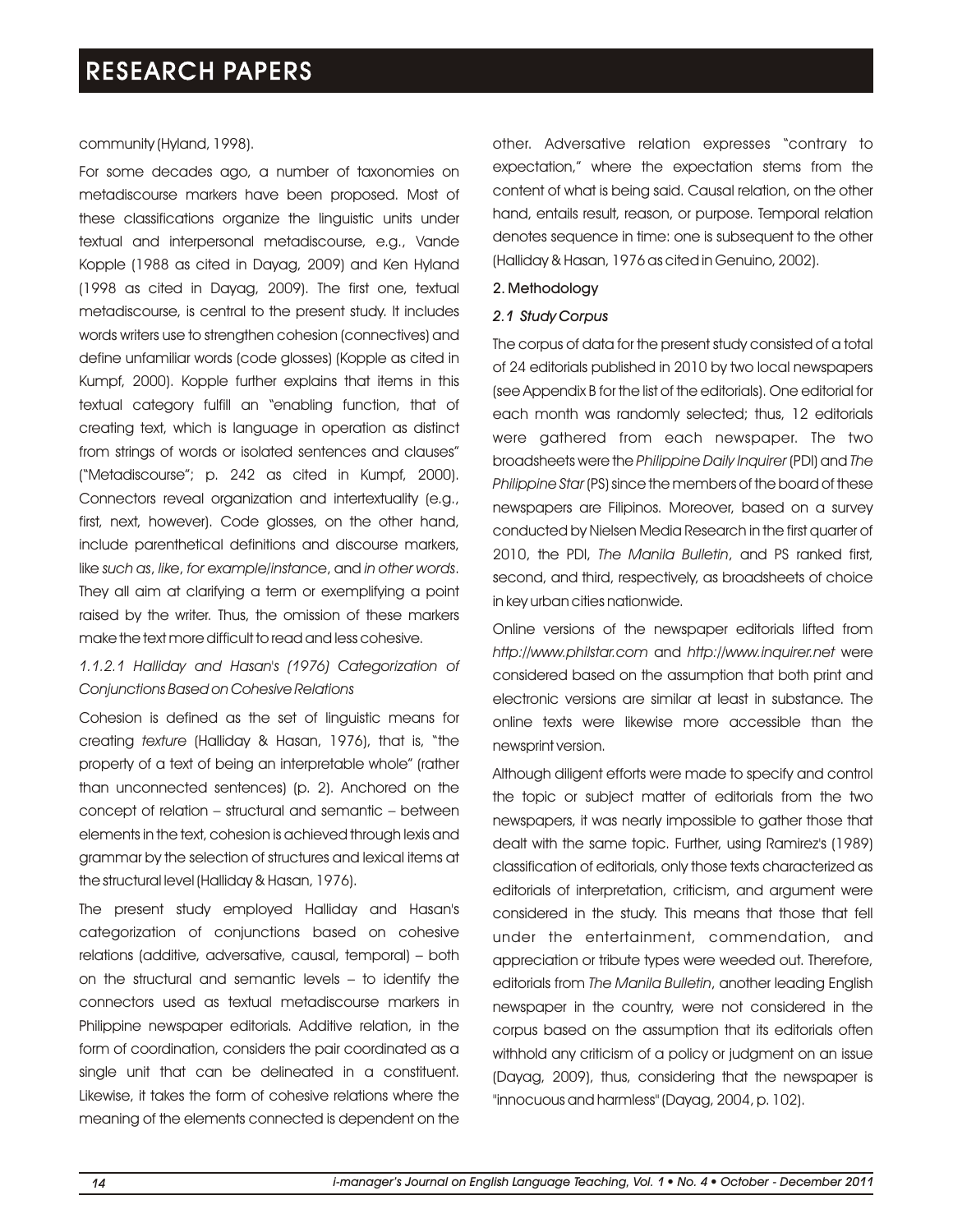#### community (Hyland, 1998).

For some decades ago, a number of taxonomies on metadiscourse markers have been proposed. Most of these classifications organize the linguistic units under textual and interpersonal metadiscourse, e.g., Vande Kopple (1988 as cited in Dayag, 2009) and Ken Hyland (1998 as cited in Dayag, 2009). The first one, textual metadiscourse, is central to the present study. It includes words writers use to strengthen cohesion (connectives) and define unfamiliar words (code glosses) (Kopple as cited in Kumpf, 2000). Kopple further explains that items in this textual category fulfill an "enabling function, that of creating text, which is language in operation as distinct from strings of words or isolated sentences and clauses" ("Metadiscourse"; p. 242 as cited in Kumpf, 2000). Connectors reveal organization and intertextuality (e.g., first, next, however). Code glosses, on the other hand, include parenthetical definitions and discourse markers, like *such as*, *like*, *for example/instance*, and *in other words*. They all aim at clarifying a term or exemplifying a point raised by the writer. Thus, the omission of these markers make the text more difficult to read and less cohesive.

# *1.1.2.1 Halliday and Hasan's (1976) Categorization of Conjunctions Based on Cohesive Relations*

Cohesion is defined as the set of linguistic means for creating *texture* (Halliday & Hasan, 1976), that is, "the property of a text of being an interpretable whole" (rather than unconnected sentences) (p. 2). Anchored on the concept of relation – structural and semantic – between elements in the text, cohesion is achieved through lexis and grammar by the selection of structures and lexical items at the structural level (Halliday & Hasan, 1976).

The present study employed Halliday and Hasan's categorization of conjunctions based on cohesive relations (additive, adversative, causal, temporal) – both on the structural and semantic levels – to identify the connectors used as textual metadiscourse markers in Philippine newspaper editorials. Additive relation, in the form of coordination, considers the pair coordinated as a single unit that can be delineated in a constituent. Likewise, it takes the form of cohesive relations where the meaning of the elements connected is dependent on the other. Adversative relation expresses "contrary to expectation," where the expectation stems from the content of what is being said. Causal relation, on the other hand, entails result, reason, or purpose. Temporal relation denotes sequence in time: one is subsequent to the other (Halliday & Hasan, 1976 as cited in Genuino, 2002).

#### 2. Methodology

#### *2.1 Study Corpus*

The corpus of data for the present study consisted of a total of 24 editorials published in 2010 by two local newspapers (see Appendix B for the list of the editorials). One editorial for each month was randomly selected; thus, 12 editorials were gathered from each newspaper. The two broadsheets were the *Philippine Daily Inquirer* (PDI) and *The Philippine Star* (PS) since the members of the board of these newspapers are Filipinos. Moreover, based on a survey conducted by Nielsen Media Research in the first quarter of 2010, the PDI, *The Manila Bulletin*, and PS ranked first, second, and third, respectively, as broadsheets of choice in key urban cities nationwide.

Online versions of the newspaper editorials lifted from *http://www.philstar.com* and *http://www.inquirer.net* were considered based on the assumption that both print and electronic versions are similar at least in substance. The online texts were likewise more accessible than the newsprint version.

Although diligent efforts were made to specify and control the topic or subject matter of editorials from the two newspapers, it was nearly impossible to gather those that dealt with the same topic. Further, using Ramirez's (1989) classification of editorials, only those texts characterized as editorials of interpretation, criticism, and argument were considered in the study. This means that those that fell under the entertainment, commendation, and appreciation or tribute types were weeded out. Therefore, editorials from *The Manila Bulletin*, another leading English newspaper in the country, were not considered in the corpus based on the assumption that its editorials often withhold any criticism of a policy or judgment on an issue (Dayag, 2009), thus, considering that the newspaper is "innocuous and harmless" (Dayag, 2004, p. 102).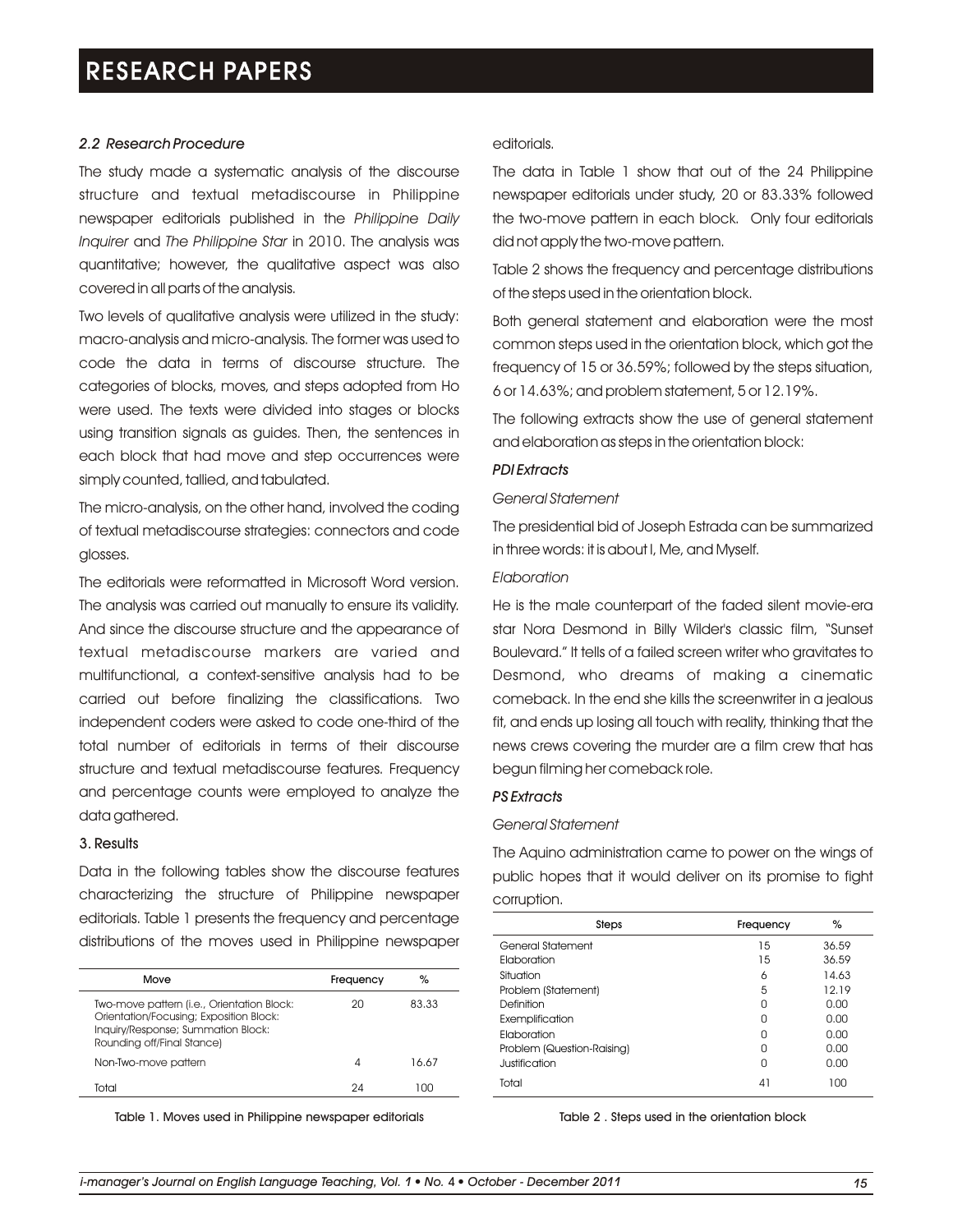### *2.2 Research Procedure*

The study made a systematic analysis of the discourse structure and textual metadiscourse in Philippine newspaper editorials published in the *Philippine Daily Inquirer* and *The Philippine Star* in 2010. The analysis was quantitative; however, the qualitative aspect was also covered in all parts of the analysis.

Two levels of qualitative analysis were utilized in the study: macro-analysis and micro-analysis. The former was used to code the data in terms of discourse structure. The categories of blocks, moves, and steps adopted from Ho were used. The texts were divided into stages or blocks using transition signals as guides. Then, the sentences in each block that had move and step occurrences were simply counted, tallied, and tabulated.

The micro-analysis, on the other hand, involved the coding of textual metadiscourse strategies: connectors and code glosses.

The editorials were reformatted in Microsoft Word version. The analysis was carried out manually to ensure its validity. And since the discourse structure and the appearance of textual metadiscourse markers are varied and multifunctional, a context-sensitive analysis had to be carried out before finalizing the classifications. Two independent coders were asked to code one-third of the total number of editorials in terms of their discourse structure and textual metadiscourse features. Frequency and percentage counts were employed to analyze the data gathered.

#### 3. Results

Data in the following tables show the discourse features characterizing the structure of Philippine newspaper editorials. Table 1 presents the frequency and percentage distributions of the moves used in Philippine newspaper

| Move                                                                                                                                                      | Frequency | $\%$  |  |
|-----------------------------------------------------------------------------------------------------------------------------------------------------------|-----------|-------|--|
| Two-move pattern (i.e., Orientation Block:<br>Orientation/Focusing; Exposition Block:<br>Inquiry/Response; Summation Block:<br>Rounding off/Final Stance) | 20        | 83.33 |  |
| Non-Two-move pattern                                                                                                                                      | 4         | 16.67 |  |
| Total                                                                                                                                                     | 24        | חחו   |  |
|                                                                                                                                                           |           |       |  |

Table 1. Moves used in Philippine newspaper editorials

#### editorials.

The data in Table 1 show that out of the 24 Philippine newspaper editorials under study, 20 or 83.33% followed the two-move pattern in each block. Only four editorials did not apply the two-move pattern.

Table 2 shows the frequency and percentage distributions of the steps used in the orientation block.

Both general statement and elaboration were the most common steps used in the orientation block, which got the frequency of 15 or 36.59%; followed by the steps situation, 6 or 14.63%; and problem statement, 5 or 12.19%.

The following extracts show the use of general statement and elaboration as steps in the orientation block:

### *PDI Extracts*

#### *General Statement*

The presidential bid of Joseph Estrada can be summarized in three words: it is about I, Me, and Myself.

#### *Elaboration*

He is the male counterpart of the faded silent movie-era star Nora Desmond in Billy Wilder's classic film, "Sunset Boulevard." It tells of a failed screen writer who gravitates to Desmond, who dreams of making a cinematic comeback. In the end she kills the screenwriter in a jealous fit, and ends up losing all touch with reality, thinking that the news crews covering the murder are a film crew that has begun filming her comeback role.

#### *PS Extracts*

#### *General Statement*

The Aquino administration came to power on the wings of public hopes that it would deliver on its promise to fight corruption.

| Steps                      | Frequency | %     |
|----------------------------|-----------|-------|
| General Statement          | 15        | 36.59 |
| Elaboration                | 15        | 36.59 |
| Situation                  | 6         | 14.63 |
| Problem (Statement)        | 5         | 12.19 |
| Definition                 | Ω         | 0.00  |
| Exemplification            | U         | 0.00  |
| Elaboration                | Ω         | 0.00  |
| Problem (Question-Raising) | Ω         | 0.00  |
| Justification              | Ω         | 0.00  |
| Total                      | 41        | 100   |

Table 2 . Steps used in the orientation block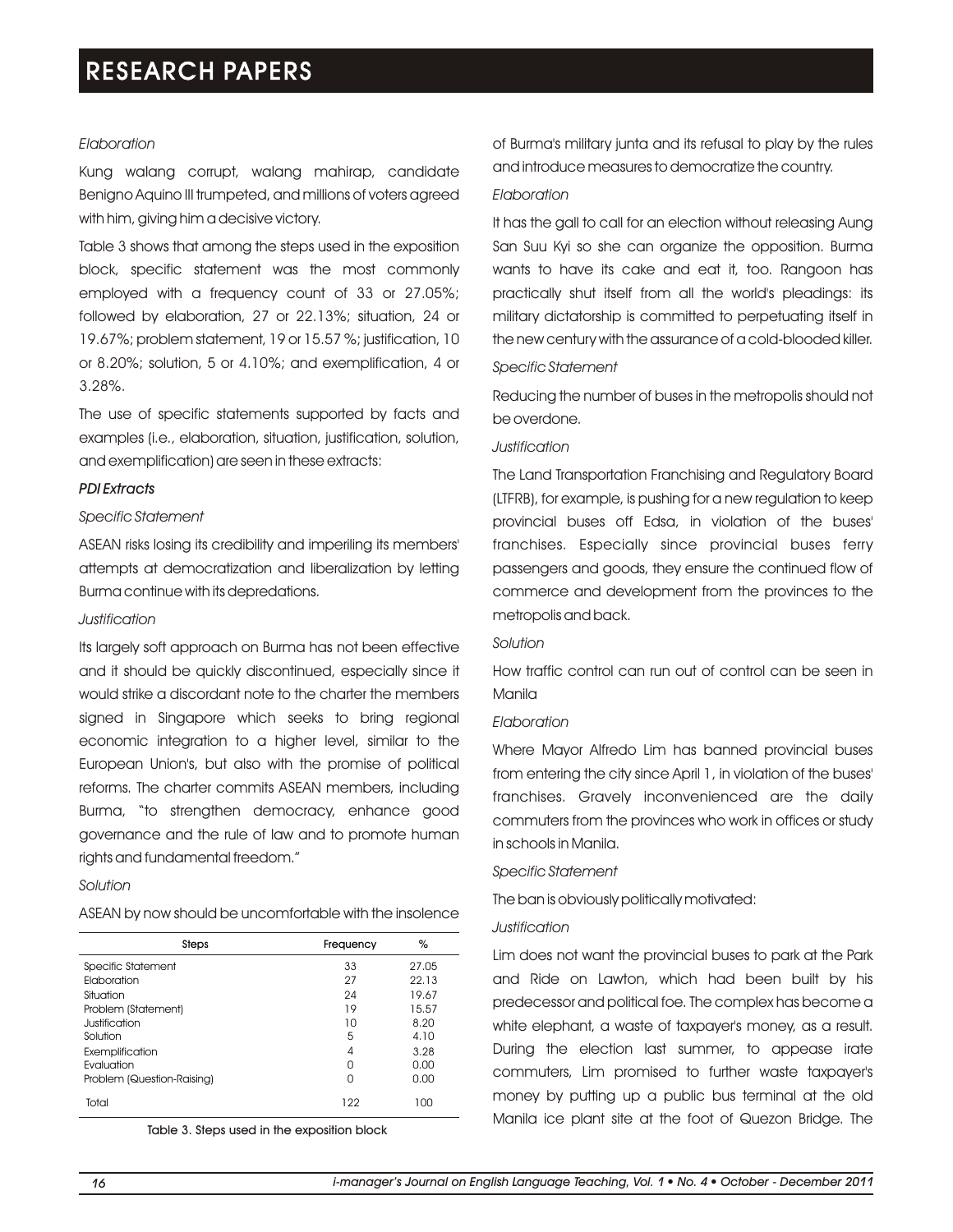#### *Elaboration*

Kung walang corrupt, walang mahirap, candidate Benigno Aquino III trumpeted, and millions of voters agreed with him, giving him a decisive victory.

Table 3 shows that among the steps used in the exposition block, specific statement was the most commonly employed with a frequency count of 33 or 27.05%; followed by elaboration, 27 or 22.13%; situation, 24 or 19.67%; problem statement, 19 or 15.57 %; justification, 10 or 8.20%; solution, 5 or 4.10%; and exemplification, 4 or 3.28%.

The use of specific statements supported by facts and examples (i.e., elaboration, situation, justification, solution, and exemplification) are seen in these extracts:

#### *PDI Extracts*

#### *Specific Statement*

ASEAN risks losing its credibility and imperiling its members' attempts at democratization and liberalization by letting Burma continue with its depredations.

### *Justification*

Its largely soft approach on Burma has not been effective and it should be quickly discontinued, especially since it would strike a discordant note to the charter the members signed in Singapore which seeks to bring regional economic integration to a higher level, similar to the European Union's, but also with the promise of political reforms. The charter commits ASEAN members, including Burma, "to strengthen democracy, enhance good governance and the rule of law and to promote human rights and fundamental freedom."

#### *Solution*

| Steps                      | Frequency | %     |
|----------------------------|-----------|-------|
| Specific Statement         | 33        | 27.05 |
| Elaboration                | 27        | 22.13 |
| Situation                  | 24        | 19.67 |
| Problem (Statement)        | 19        | 15.57 |
| Justification              | 10        | 8.20  |
| Solution                   | 5         | 4.10  |
| Exemplification            | 4         | 3.28  |
| Evaluation                 | N         | 0.00  |
| Problem (Question-Raising) | U         | 0.00  |
| Total                      | 122       | 100   |

Table 3. Steps used in the exposition block

of Burma's military junta and its refusal to play by the rules and introduce measures to democratize the country.

#### *Elaboration*

It has the gall to call for an election without releasing Aung San Suu Kyi so she can organize the opposition. Burma wants to have its cake and eat it, too. Rangoon has practically shut itself from all the world's pleadings: its military dictatorship is committed to perpetuating itself in the new century with the assurance of a cold-blooded killer.

### *Specific Statement*

Reducing the number of buses in the metropolis should not be overdone.

#### *Justification*

The Land Transportation Franchising and Regulatory Board (LTFRB), for example, is pushing for a new regulation to keep provincial buses off Edsa, in violation of the buses' franchises. Especially since provincial buses ferry passengers and goods, they ensure the continued flow of commerce and development from the provinces to the metropolis and back.

#### *Solution*

How traffic control can run out of control can be seen in Manila

#### *Elaboration*

Where Mayor Alfredo Lim has banned provincial buses from entering the city since April 1, in violation of the buses' franchises. Gravely inconvenienced are the daily commuters from the provinces who work in offices or study in schools in Manila.

#### *Specific Statement*

The ban is obviously politically motivated:

#### *Justification*

Lim does not want the provincial buses to park at the Park and Ride on Lawton, which had been built by his predecessor and political foe. The complex has become a white elephant, a waste of taxpayer's money, as a result. During the election last summer, to appease irate commuters, Lim promised to further waste taxpayer's money by putting up a public bus terminal at the old Manila ice plant site at the foot of Quezon Bridge. The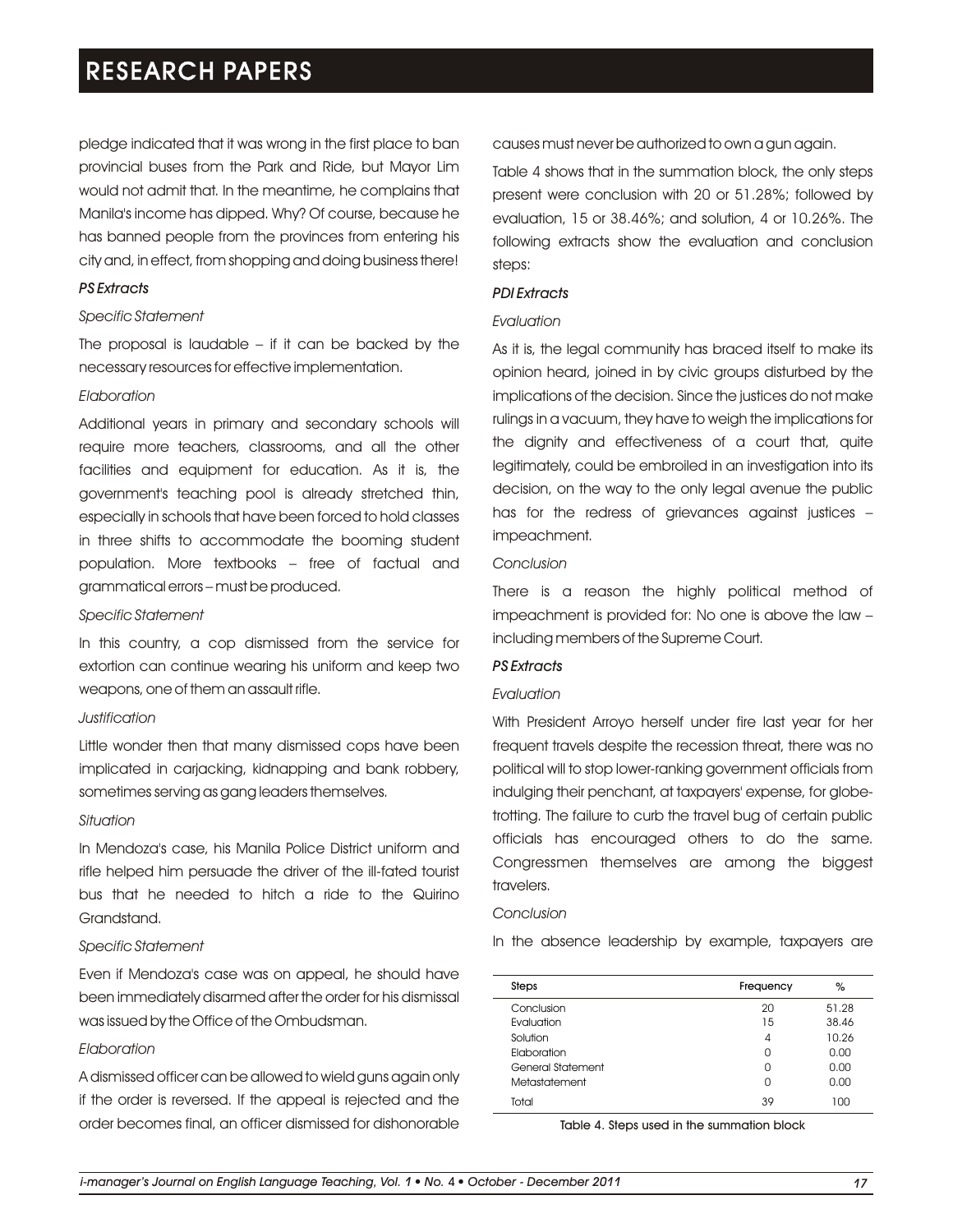pledge indicated that it was wrong in the first place to ban provincial buses from the Park and Ride, but Mayor Lim would not admit that. In the meantime, he complains that Manila's income has dipped. Why? Of course, because he has banned people from the provinces from entering his city and, in effect, from shopping and doing business there!

# *PS Extracts*

### *Specific Statement*

The proposal is laudable  $-$  if it can be backed by the necessary resources for effective implementation.

#### *Elaboration*

Additional years in primary and secondary schools will require more teachers, classrooms, and all the other facilities and equipment for education. As it is, the government's teaching pool is already stretched thin, especially in schools that have been forced to hold classes in three shifts to accommodate the booming student population. More textbooks – free of factual and grammatical errors – must be produced.

#### *Specific Statement*

In this country, a cop dismissed from the service for extortion can continue wearing his uniform and keep two weapons, one of them an assault rifle.

# *Justification*

Little wonder then that many dismissed cops have been implicated in carjacking, kidnapping and bank robbery, sometimes serving as gang leaders themselves.

#### *Situation*

In Mendoza's case, his Manila Police District uniform and rifle helped him persuade the driver of the ill-fated tourist bus that he needed to hitch a ride to the Quirino Grandstand.

#### *Specific Statement*

Even if Mendoza's case was on appeal, he should have been immediately disarmed after the order for his dismissal was issued by the Office of the Ombudsman.

# *Elaboration*

A dismissed officer can be allowed to wield guns again only if the order is reversed. If the appeal is rejected and the order becomes final, an officer dismissed for dishonorable causes must never be authorized to own a gun again.

Table 4 shows that in the summation block, the only steps present were conclusion with 20 or 51.28%; followed by evaluation, 15 or 38.46%; and solution, 4 or 10.26%. The following extracts show the evaluation and conclusion steps:

### *PDI Extracts*

#### *Evaluation*

As it is, the legal community has braced itself to make its opinion heard, joined in by civic groups disturbed by the implications of the decision. Since the justices do not make rulings in a vacuum, they have to weigh the implications for the dignity and effectiveness of a court that, quite legitimately, could be embroiled in an investigation into its decision, on the way to the only legal avenue the public has for the redress of grievances against justices – impeachment.

# *Conclusion*

There is a reason the highly political method of impeachment is provided for: No one is above the law – including members of the Supreme Court.

# *PS Extracts*

# *Evaluation*

With President Arroyo herself under fire last year for her frequent travels despite the recession threat, there was no political will to stop lower-ranking government officials from indulging their penchant, at taxpayers' expense, for globetrotting. The failure to curb the travel bug of certain public officials has encouraged others to do the same. Congressmen themselves are among the biggest travelers.

#### *Conclusion*

In the absence leadership by example, taxpayers are

| Steps             | Frequency | %     |
|-------------------|-----------|-------|
| Conclusion        | 20        | 51.28 |
| Evaluation        | 15        | 38.46 |
| Solution          | 4         | 10.26 |
| Elaboration       | 0         | 0.00  |
| General Statement | U         | 0.00  |
| Metastatement     | 0         | 0.00  |
| Total             | 39        | 100   |

Table 4. Steps used in the summation block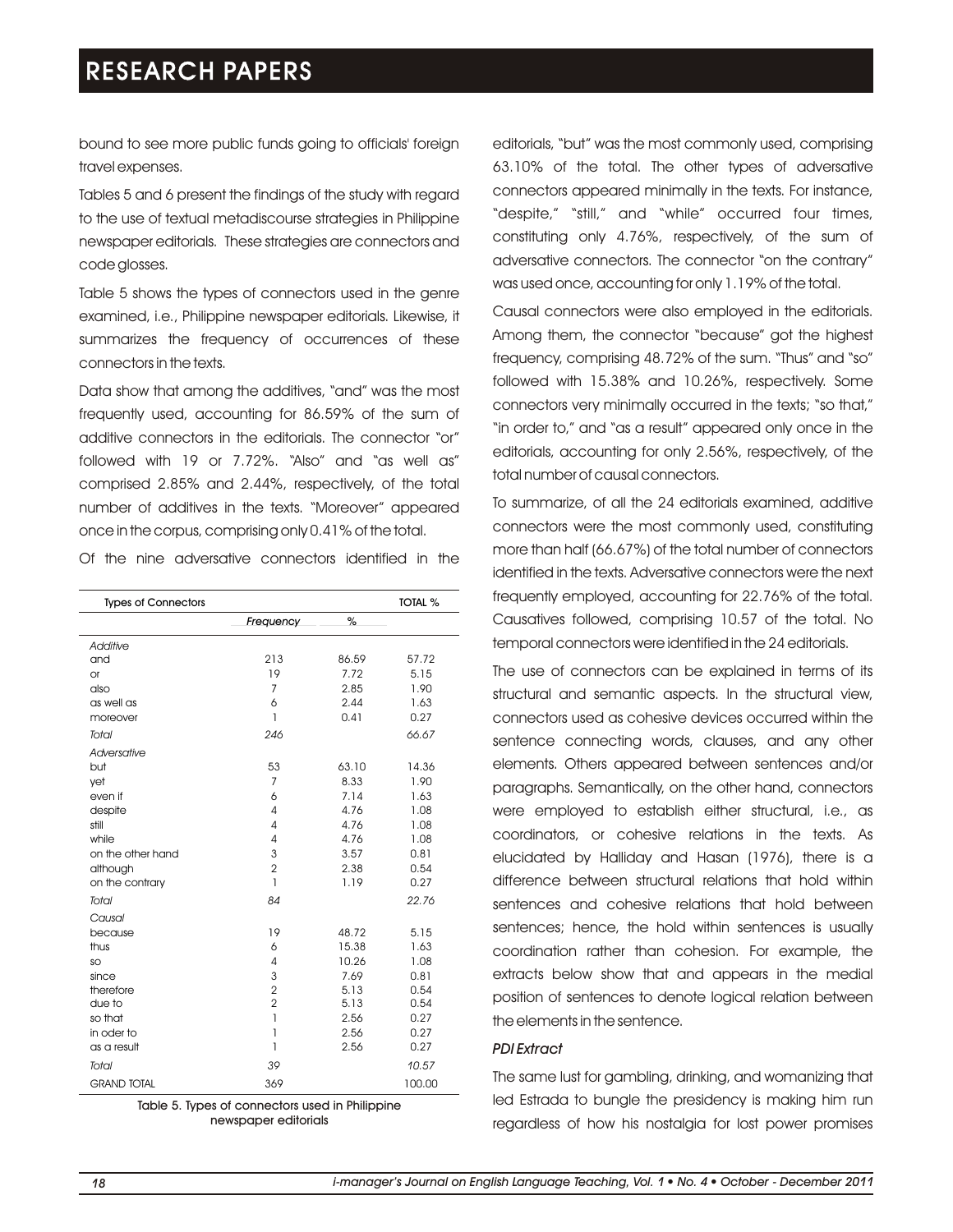bound to see more public funds going to officials' foreign travel expenses.

Tables 5 and 6 present the findings of the study with regard to the use of textual metadiscourse strategies in Philippine newspaper editorials. These strategies are connectors and code glosses.

Table 5 shows the types of connectors used in the genre examined, i.e., Philippine newspaper editorials. Likewise, it summarizes the frequency of occurrences of these connectors in the texts.

Data show that among the additives, "and" was the most frequently used, accounting for 86.59% of the sum of additive connectors in the editorials. The connector "or" followed with 19 or 7.72%. "Also" and "as well as" comprised 2.85% and 2.44%, respectively, of the total number of additives in the texts. "Moreover" appeared once in the corpus, comprising only 0.41% of the total.

Of the nine adversative connectors identified in the

| <b>Types of Connectors</b> |                |               | <b>TOTAL %</b> |
|----------------------------|----------------|---------------|----------------|
|                            | Frequency      | $\frac{9}{4}$ |                |
| Additive                   |                |               |                |
| and                        | 213            | 86.59         | 57.72          |
| <b>or</b>                  | 19             | 7.72          | 5.15           |
| also                       | $\overline{7}$ | 2.85          | 1.90           |
| as well as                 | 6              | 2.44          | 1.63           |
| moreover                   | 1              | 0.41          | 0.27           |
| Total                      | 246            |               | 66.67          |
| Adversative                |                |               |                |
| but                        | 53             | 63.10         | 14.36          |
| vet                        | $\overline{7}$ | 8.33          | 1.90           |
| even if                    | 6              | 7.14          | 1.63           |
| despite                    | 4              | 4.76          | 1.08           |
| still                      | 4              | 4.76          | 1.08           |
| while                      | 4              | 4.76          | 1.08           |
| on the other hand          | 3              | 3.57          | 0.81           |
| although                   | $\overline{2}$ | 2.38          | 0.54           |
| on the contrary            | 1              | 1.19          | 0.27           |
| Total                      | 84             |               | 22.76          |
| Causal                     |                |               |                |
| because                    | 19             | 48.72         | 5.15           |
| thus                       | 6              | 15.38         | 1.63           |
| SO                         | 4              | 10.26         | 1.08           |
| since                      | 3              | 7.69          | 0.81           |
| therefore                  | $\overline{2}$ | 5.13          | 0.54           |
| due to                     | $\overline{2}$ | 5.13          | 0.54           |
| so that                    | 1              | 2.56          | 0.27           |
| in oder to                 | 1              | 2.56          | 0.27           |
| as a result                | 1              | 2.56          | 0.27           |
| Total                      | 39             |               | 10.57          |
| <b>GRAND TOTAL</b>         | 369            |               | 100.00         |

Table 5. Types of connectors used in Philippine newspaper editorials

editorials, "but" was the most commonly used, comprising 63.10% of the total. The other types of adversative connectors appeared minimally in the texts. For instance, "despite," "still," and "while" occurred four times, constituting only 4.76%, respectively, of the sum of adversative connectors. The connector "on the contrary" was used once, accounting for only 1.19% of the total.

Causal connectors were also employed in the editorials. Among them, the connector "because" got the highest frequency, comprising 48.72% of the sum. "Thus" and "so" followed with 15.38% and 10.26%, respectively. Some connectors very minimally occurred in the texts; "so that," "in order to," and "as a result" appeared only once in the editorials, accounting for only 2.56%, respectively, of the total number of causal connectors.

To summarize, of all the 24 editorials examined, additive connectors were the most commonly used, constituting more than half (66.67%) of the total number of connectors identified in the texts. Adversative connectors were the next frequently employed, accounting for 22.76% of the total. Causatives followed, comprising 10.57 of the total. No temporal connectors were identified in the 24 editorials.

The use of connectors can be explained in terms of its structural and semantic aspects. In the structural view, connectors used as cohesive devices occurred within the sentence connecting words, clauses, and any other elements. Others appeared between sentences and/or paragraphs. Semantically, on the other hand, connectors were employed to establish either structural, i.e., as coordinators, or cohesive relations in the texts. As elucidated by Halliday and Hasan (1976), there is a difference between structural relations that hold within sentences and cohesive relations that hold between sentences; hence, the hold within sentences is usually coordination rather than cohesion. For example, the extracts below show that and appears in the medial position of sentences to denote logical relation between the elements in the sentence.

#### *PDI Extract*

The same lust for gambling, drinking, and womanizing that led Estrada to bungle the presidency is making him run regardless of how his nostalgia for lost power promises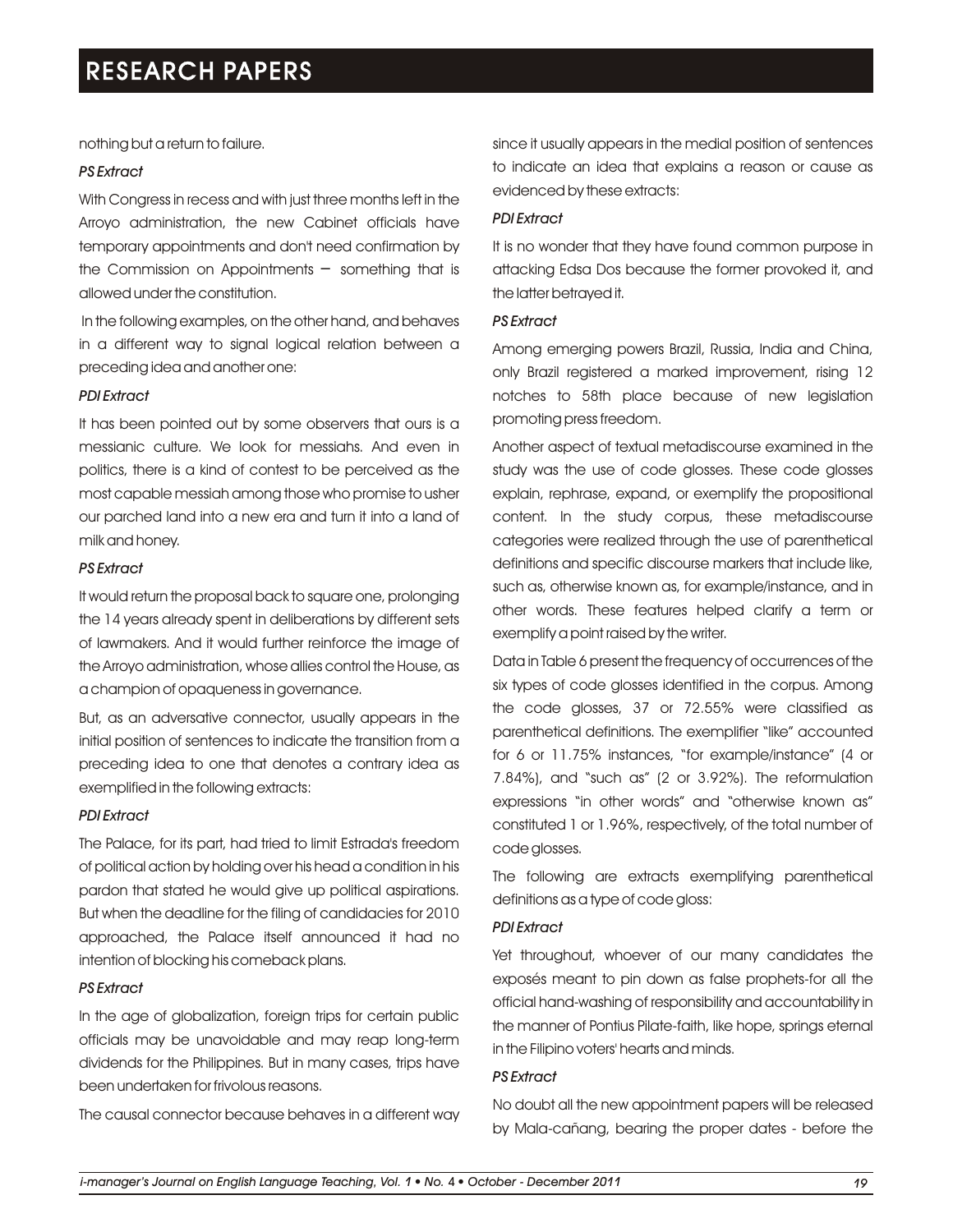nothing but a return to failure.

# *PS Extract*

With Congress in recess and with just three months left in the Arroyo administration, the new Cabinet officials have temporary appointments and don't need confirmation by the Commission on Appointments  $-$  something that is allowed under the constitution.

In the following examples, on the other hand, and behaves in a different way to signal logical relation between a preceding idea and another one:

#### *PDI Extract*

It has been pointed out by some observers that ours is a messianic culture. We look for messiahs. And even in politics, there is a kind of contest to be perceived as the most capable messiah among those who promise to usher our parched land into a new era and turn it into a land of milk and honey.

# *PS Extract*

It would return the proposal back to square one, prolonging the 14 years already spent in deliberations by different sets of lawmakers. And it would further reinforce the image of the Arroyo administration, whose allies control the House, as a champion of opaqueness in governance.

But, as an adversative connector, usually appears in the initial position of sentences to indicate the transition from a preceding idea to one that denotes a contrary idea as exemplified in the following extracts:

# *PDI Extract*

The Palace, for its part, had tried to limit Estrada's freedom of political action by holding over his head a condition in his pardon that stated he would give up political aspirations. But when the deadline for the filing of candidacies for 2010 approached, the Palace itself announced it had no intention of blocking his comeback plans.

# *PS Extract*

In the age of globalization, foreign trips for certain public officials may be unavoidable and may reap long-term dividends for the Philippines. But in many cases, trips have been undertaken for frivolous reasons.

The causal connector because behaves in a different way

since it usually appears in the medial position of sentences to indicate an idea that explains a reason or cause as evidenced by these extracts:

#### *PDI Extract*

It is no wonder that they have found common purpose in attacking Edsa Dos because the former provoked it, and the latter betrayed it.

### *PS Extract*

Among emerging powers Brazil, Russia, India and China, only Brazil registered a marked improvement, rising 12 notches to 58th place because of new legislation promoting press freedom.

Another aspect of textual metadiscourse examined in the study was the use of code glosses. These code glosses explain, rephrase, expand, or exemplify the propositional content. In the study corpus, these metadiscourse categories were realized through the use of parenthetical definitions and specific discourse markers that include like, such as, otherwise known as, for example/instance, and in other words. These features helped clarify a term or exemplify a point raised by the writer.

Data in Table 6 present the frequency of occurrences of the six types of code glosses identified in the corpus. Among the code glosses, 37 or 72.55% were classified as parenthetical definitions. The exemplifier "like" accounted for 6 or 11.75% instances, "for example/instance" (4 or 7.84%), and "such as" (2 or 3.92%). The reformulation expressions "in other words" and "otherwise known as" constituted 1 or 1.96%, respectively, of the total number of code glosses.

The following are extracts exemplifying parenthetical definitions as a type of code gloss:

#### *PDI Extract*

Yet throughout, whoever of our many candidates the exposés meant to pin down as false prophets-for all the official hand-washing of responsibility and accountability in the manner of Pontius Pilate-faith, like hope, springs eternal in the Filipino voters' hearts and minds.

# *PS Extract*

No doubt all the new appointment papers will be released by Mala-cañang, bearing the proper dates - before the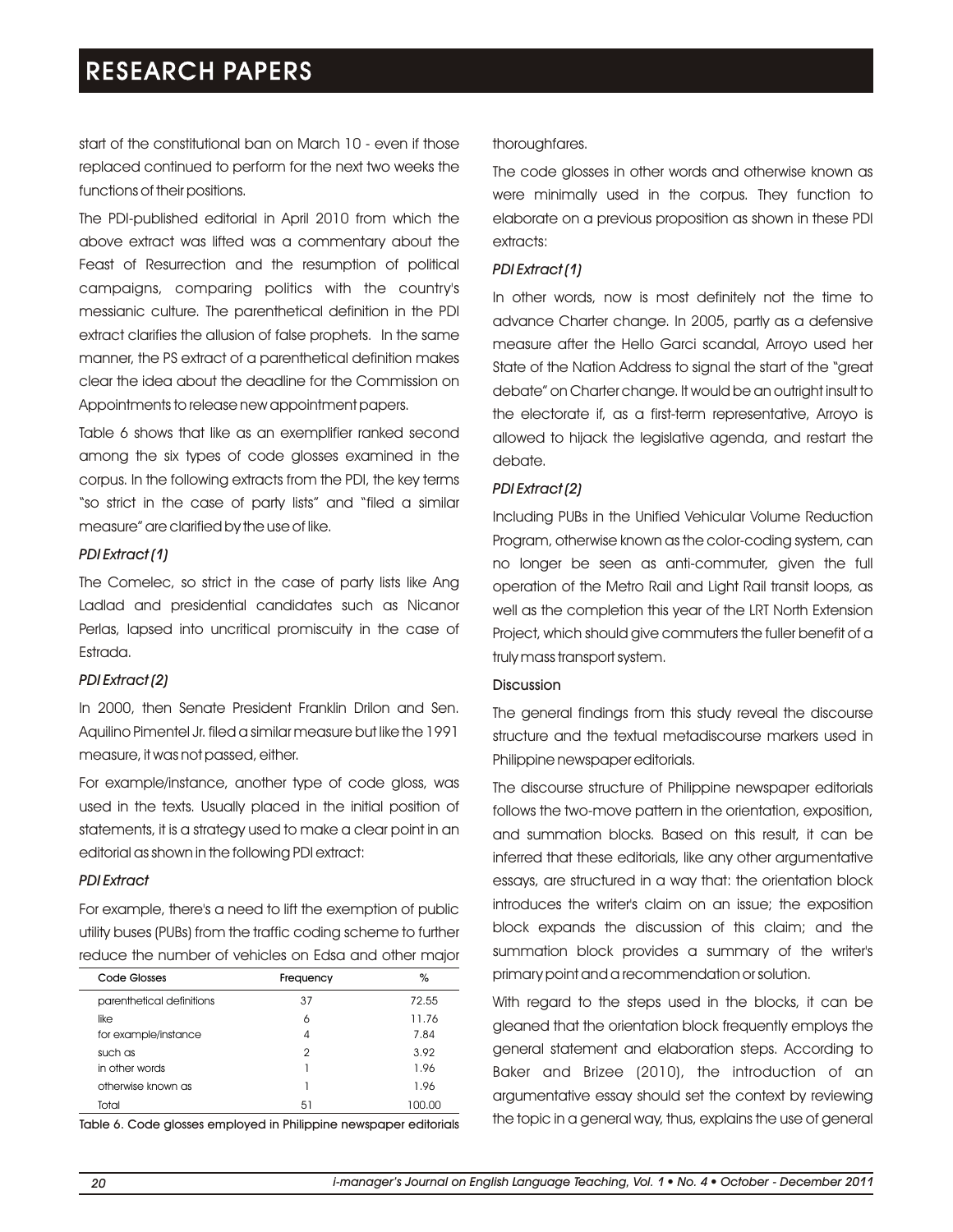start of the constitutional ban on March 10 - even if those replaced continued to perform for the next two weeks the functions of their positions.

The PDI-published editorial in April 2010 from which the above extract was lifted was a commentary about the Feast of Resurrection and the resumption of political campaigns, comparing politics with the country's messianic culture. The parenthetical definition in the PDI extract clarifies the allusion of false prophets. In the same manner, the PS extract of a parenthetical definition makes clear the idea about the deadline for the Commission on Appointments to release new appointment papers.

Table 6 shows that like as an exemplifier ranked second among the six types of code glosses examined in the corpus. In the following extracts from the PDI, the key terms "so strict in the case of party lists" and "filed a similar measure" are clarified by the use of like.

# *PDI Extract (1)*

The Comelec, so strict in the case of party lists like Ang Ladlad and presidential candidates such as Nicanor Perlas, lapsed into uncritical promiscuity in the case of Estrada.

# *PDI Extract (2)*

In 2000, then Senate President Franklin Drilon and Sen. Aquilino Pimentel Jr. filed a similar measure but like the 1991 measure, it was not passed, either.

For example/instance, another type of code gloss, was used in the texts. Usually placed in the initial position of statements, it is a strategy used to make a clear point in an editorial as shown in the following PDI extract:

# *PDI Extract*

For example, there's a need to lift the exemption of public utility buses (PUBs) from the traffic coding scheme to further reduce the number of vehicles on Edsa and other major

| Code Glosses              | Frequency     | %      |
|---------------------------|---------------|--------|
| parenthetical definitions | 37            | 72.55  |
| like                      | 6             | 11.76  |
| for example/instance      | 4             | 7.84   |
| such as                   | $\mathcal{P}$ | 3.92   |
| in other words            |               | 1.96   |
| otherwise known as        |               | 1.96   |
| Total                     | 51            | 100.00 |

Table 6. Code glosses employed in Philippine newspaper editorials

# thoroughfares.

The code glosses in other words and otherwise known as were minimally used in the corpus. They function to elaborate on a previous proposition as shown in these PDI extracts:

# *PDI Extract (1)*

In other words, now is most definitely not the time to advance Charter change. In 2005, partly as a defensive measure after the Hello Garci scandal, Arroyo used her State of the Nation Address to signal the start of the "great debate" on Charter change. It would be an outright insult to the electorate if, as a first-term representative, Arroyo is allowed to hijack the legislative agenda, and restart the debate.

# *PDI Extract (2)*

Including PUBs in the Unified Vehicular Volume Reduction Program, otherwise known as the color-coding system, can no longer be seen as anti-commuter, given the full operation of the Metro Rail and Light Rail transit loops, as well as the completion this year of the LRT North Extension Project, which should give commuters the fuller benefit of a truly mass transport system.

# Discussion

The general findings from this study reveal the discourse structure and the textual metadiscourse markers used in Philippine newspaper editorials.

The discourse structure of Philippine newspaper editorials follows the two-move pattern in the orientation, exposition, and summation blocks. Based on this result, it can be inferred that these editorials, like any other argumentative essays, are structured in a way that: the orientation block introduces the writer's claim on an issue; the exposition block expands the discussion of this claim; and the summation block provides a summary of the writer's primary point and a recommendation or solution.

With regard to the steps used in the blocks, it can be gleaned that the orientation block frequently employs the general statement and elaboration steps. According to Baker and Brizee (2010), the introduction of an argumentative essay should set the context by reviewing the topic in a general way, thus, explains the use of general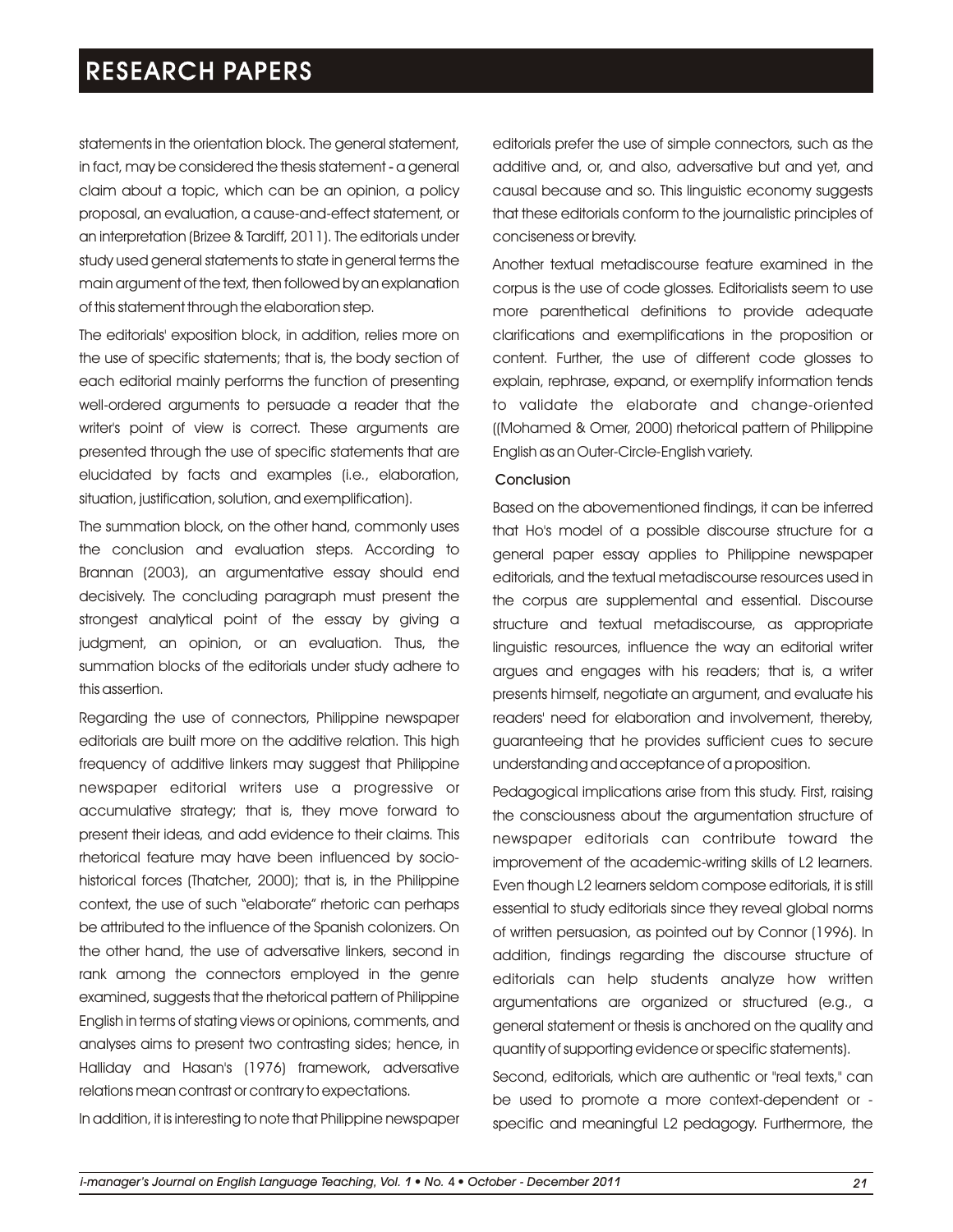statements in the orientation block. The general statement, in fact, may be considered the thesis statement - a general claim about a topic, which can be an opinion, a policy proposal, an evaluation, a cause-and-effect statement, or an interpretation (Brizee & Tardiff, 2011). The editorials under study used general statements to state in general terms the main argument of the text, then followed by an explanation of this statement through the elaboration step.

The editorials' exposition block, in addition, relies more on the use of specific statements; that is, the body section of each editorial mainly performs the function of presenting well-ordered arguments to persuade a reader that the writer's point of view is correct. These arguments are presented through the use of specific statements that are elucidated by facts and examples (i.e., elaboration, situation, justification, solution, and exemplification).

The summation block, on the other hand, commonly uses the conclusion and evaluation steps. According to Brannan (2003), an argumentative essay should end decisively. The concluding paragraph must present the strongest analytical point of the essay by giving a judgment, an opinion, or an evaluation. Thus, the summation blocks of the editorials under study adhere to this assertion.

Regarding the use of connectors, Philippine newspaper editorials are built more on the additive relation. This high frequency of additive linkers may suggest that Philippine newspaper editorial writers use a progressive or accumulative strategy; that is, they move forward to present their ideas, and add evidence to their claims. This rhetorical feature may have been influenced by sociohistorical forces (Thatcher, 2000); that is, in the Philippine context, the use of such "elaborate" rhetoric can perhaps be attributed to the influence of the Spanish colonizers. On the other hand, the use of adversative linkers, second in rank among the connectors employed in the genre examined, suggests that the rhetorical pattern of Philippine English in terms of stating views or opinions, comments, and analyses aims to present two contrasting sides; hence, in Halliday and Hasan's (1976) framework, adversative relations mean contrast or contrary to expectations.

In addition, it is interesting to note that Philippine newspaper

editorials prefer the use of simple connectors, such as the additive and, or, and also, adversative but and yet, and causal because and so. This linguistic economy suggests that these editorials conform to the journalistic principles of conciseness or brevity.

Another textual metadiscourse feature examined in the corpus is the use of code glosses. Editorialists seem to use more parenthetical definitions to provide adequate clarifications and exemplifications in the proposition or content. Further, the use of different code glosses to explain, rephrase, expand, or exemplify information tends to validate the elaborate and change-oriented ((Mohamed & Omer, 2000) rhetorical pattern of Philippine English as an Outer-Circle-English variety.

#### Conclusion

Based on the abovementioned findings, it can be inferred that Ho's model of a possible discourse structure for a general paper essay applies to Philippine newspaper editorials, and the textual metadiscourse resources used in the corpus are supplemental and essential. Discourse structure and textual metadiscourse, as appropriate linguistic resources, influence the way an editorial writer argues and engages with his readers; that is, a writer presents himself, negotiate an argument, and evaluate his readers' need for elaboration and involvement, thereby, guaranteeing that he provides sufficient cues to secure understanding and acceptance of a proposition.

Pedagogical implications arise from this study. First, raising the consciousness about the argumentation structure of newspaper editorials can contribute toward the improvement of the academic-writing skills of L2 learners. Even though L2 learners seldom compose editorials, it is still essential to study editorials since they reveal global norms of written persuasion, as pointed out by Connor (1996). In addition, findings regarding the discourse structure of editorials can help students analyze how written argumentations are organized or structured (e.g., a general statement or thesis is anchored on the quality and quantity of supporting evidence or specific statements).

Second, editorials, which are authentic or "real texts," can be used to promote a more context-dependent or specific and meaningful L2 pedagogy. Furthermore, the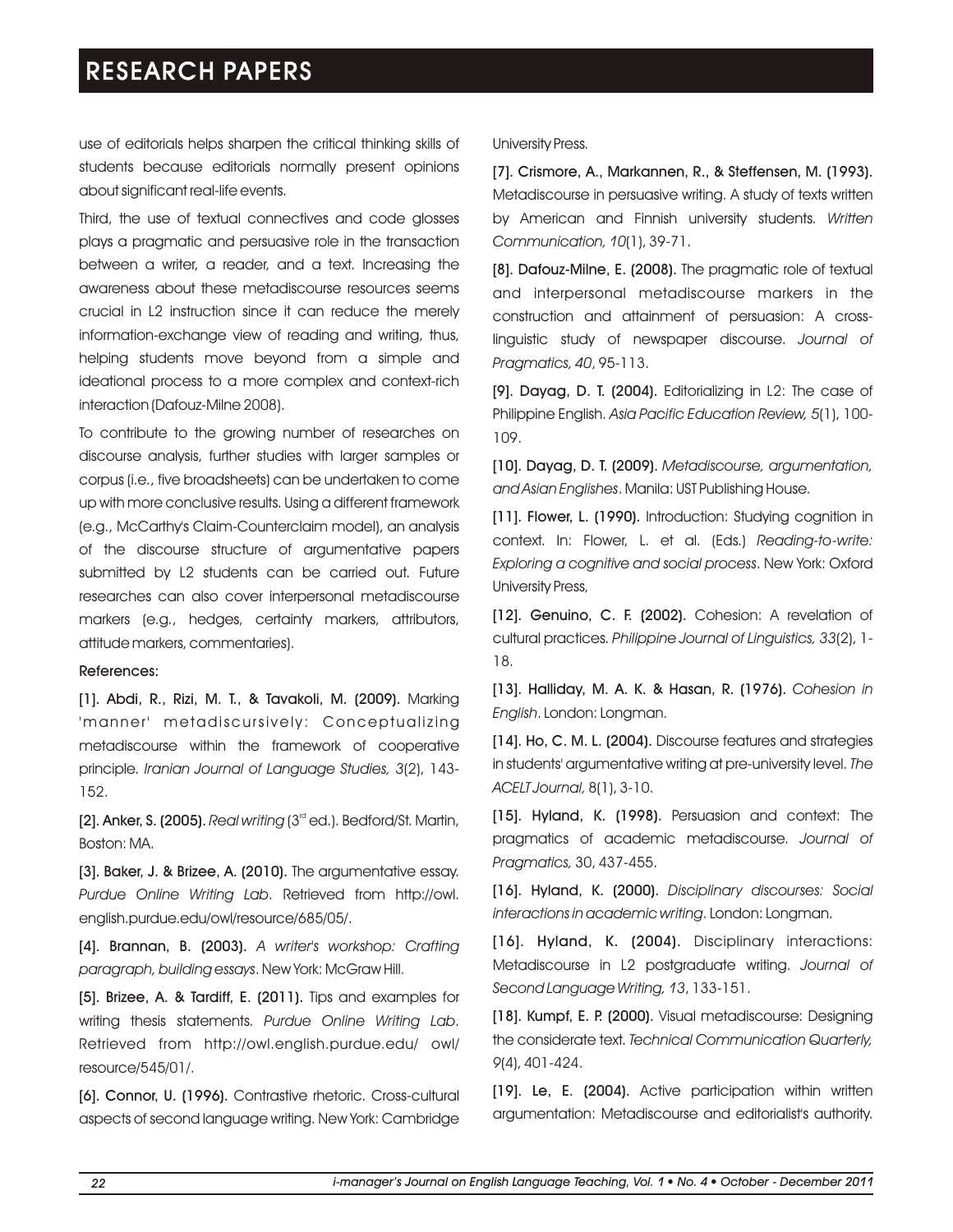use of editorials helps sharpen the critical thinking skills of students because editorials normally present opinions about significant real-life events.

Third, the use of textual connectives and code glosses plays a pragmatic and persuasive role in the transaction between a writer, a reader, and a text. Increasing the awareness about these metadiscourse resources seems crucial in L2 instruction since it can reduce the merely information-exchange view of reading and writing, thus, helping students move beyond from a simple and ideational process to a more complex and context-rich interaction (Dafouz-Milne 2008).

To contribute to the growing number of researches on discourse analysis, further studies with larger samples or corpus (i.e., five broadsheets) can be undertaken to come up with more conclusive results. Using a different framework (e.g., McCarthy's Claim-Counterclaim model), an analysis of the discourse structure of argumentative papers submitted by L2 students can be carried out. Future researches can also cover interpersonal metadiscourse markers (e.g., hedges, certainty markers, attributors, attitude markers, commentaries).

#### References:

[1]. Abdi, R., Rizi, M. T., & Tavakoli, M. (2009). Marking 'manner' metadiscursively: Conceptualizing metadiscourse within the framework of cooperative principle. *Iranian Journal of Language Studies, 3*(2), 143- 152.

[2]. Anker, S. (2005). *Real writing* (3<sup>rd</sup> ed.). Bedford/St. Martin, Boston: MA.

[3]. Baker, J. & Brizee, A. (2010). The argumentative essay. *Purdue Online Writing Lab*. Retrieved from http://owl. english.purdue.edu/owl/resource/685/05/.

[4]. Brannan, B. (2003). *A writer's workshop: Crafting paragraph, building essays*. New York: McGraw Hill.

[5]. Brizee, A. & Tardiff, E. (2011). Tips and examples for writing thesis statements. *Purdue Online Writing Lab*. Retrieved from http://owl.english.purdue.edu/ owl/ resource/545/01/.

[6]. Connor, U. (1996). Contrastive rhetoric. Cross-cultural aspects of second language writing. New York: Cambridge University Press.

[7]. Crismore, A., Markannen, R., & Steffensen, M. (1993). Metadiscourse in persuasive writing. A study of texts written by American and Finnish university students. *Written Communication, 10*(1), 39-71.

[8]. Dafouz-Milne, E. (2008). The pragmatic role of textual and interpersonal metadiscourse markers in the construction and attainment of persuasion: A crosslinguistic study of newspaper discourse. *Journal of Pragmatics, 40*, 95-113.

[9]. Dayag, D. T. (2004). Editorializing in L2: The case of Philippine English. *Asia Pacific Education Review, 5*(1), 100- 109.

[10]. Dayag, D. T. (2009). *Metadiscourse, argumentation, and Asian Englishes*. Manila: UST Publishing House.

[11]. Flower, L. (1990). Introduction: Studying cognition in context. In: Flower, L. et al. (Eds.) *Reading-to-write: Exploring a cognitive and social process*. New York: Oxford University Press,

[12]. Genuino, C. F. (2002). Cohesion: A revelation of cultural practices. *Philippine Journal of Linguistics, 33*(2), 1- 18.

[13]. Halliday, M. A. K. & Hasan, R. (1976). *Cohesion in English*. London: Longman.

[14]. Ho, C. M. L. (2004). Discourse features and strategies in students' argumentative writing at pre-university level. *The ACELT Journal,* 8(1), 3-10.

[15]. Hyland, K. (1998). Persuasion and context: The pragmatics of academic metadiscourse. *Journal of Pragmatics,* 30, 437-455.

[16]. Hyland, K. (2000). *Disciplinary discourses: Social interactions in academic writing*. London: Longman.

[16]. Hyland, K. (2004). Disciplinary interactions: Metadiscourse in L2 postgraduate writing. *Journal of Second Language Writing, 13*, 133-151.

[18]. Kumpf, E. P. (2000). Visual metadiscourse: Designing the considerate text. *Technical Communication Quarterly, 9*(4), 401-424.

[19]. Le, E. (2004). Active participation within written argumentation: Metadiscourse and editorialist's authority.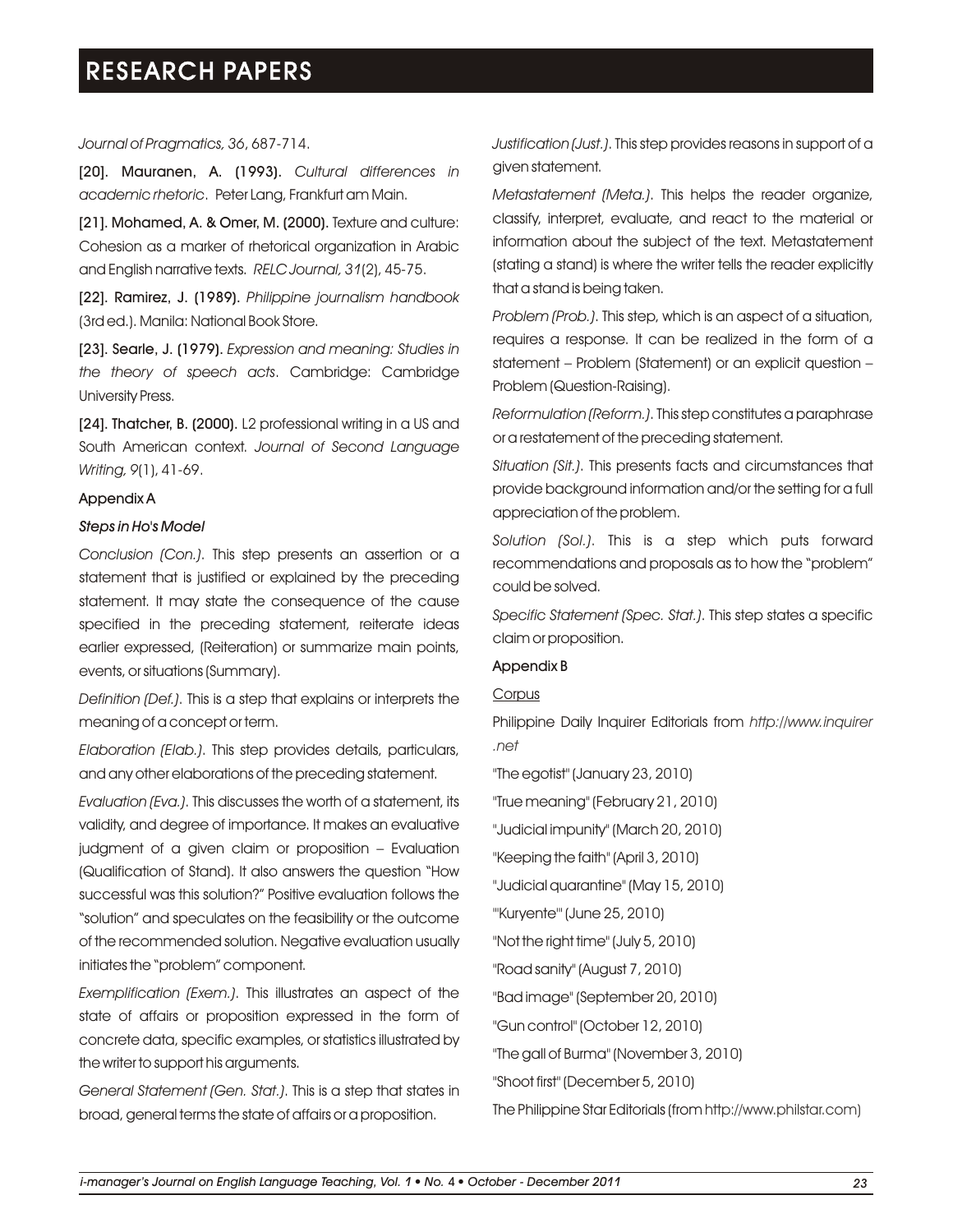### *Journal of Pragmatics, 36*, 687-714.

[20]. Mauranen, A. (1993). *Cultural differences in academic rhetoric*. Peter Lang, Frankfurt am Main.

[21]. Mohamed, A. & Omer, M. (2000). Texture and culture: Cohesion as a marker of rhetorical organization in Arabic and English narrative texts. *RELC Journal, 31*(2), 45-75.

[22]. Ramirez, J. (1989). *Philippine journalism handbook*  (3rd ed.). Manila: National Book Store.

[23]. Searle, J. (1979). *Expression and meaning: Studies in the theory of speech acts*. Cambridge: Cambridge University Press.

[24]. Thatcher, B. (2000). L2 professional writing in a US and South American context. *Journal of Second Language Writing, 9*(1), 41-69.

#### Appendix A

#### *Steps in Ho's Model*

*Conclusion (Con.)*. This step presents an assertion or a statement that is justified or explained by the preceding statement. It may state the consequence of the cause specified in the preceding statement, reiterate ideas earlier expressed, (Reiteration) or summarize main points, events, or situations (Summary).

*Definition (Def.)*. This is a step that explains or interprets the meaning of a concept or term.

*Elaboration (Elab.)*. This step provides details, particulars, and any other elaborations of the preceding statement.

*Evaluation (Eva.)*. This discusses the worth of a statement, its validity, and degree of importance. It makes an evaluative judgment of a given claim or proposition – Evaluation (Qualification of Stand). It also answers the question "How successful was this solution?" Positive evaluation follows the "solution" and speculates on the feasibility or the outcome of the recommended solution. Negative evaluation usually initiates the "problem" component.

*Exemplification (Exem.)*. This illustrates an aspect of the state of affairs or proposition expressed in the form of concrete data, specific examples, or statistics illustrated by the writer to support his arguments.

*General Statement (Gen. Stat.)*. This is a step that states in broad, general terms the state of affairs or a proposition.

*Justification (Just.)*. This step provides reasons in support of a given statement.

*Metastatement (Meta.)*. This helps the reader organize, classify, interpret, evaluate, and react to the material or information about the subject of the text. Metastatement (stating a stand) is where the writer tells the reader explicitly that a stand is being taken.

*Problem (Prob.)*. This step, which is an aspect of a situation, requires a response. It can be realized in the form of a statement – Problem (Statement) or an explicit question – Problem (Question-Raising).

*Reformulation (Reform.)*. This step constitutes a paraphrase or a restatement of the preceding statement.

*Situation (Sit.)*. This presents facts and circumstances that provide background information and/or the setting for a full appreciation of the problem.

*Solution (Sol.)*. This is a step which puts forward recommendations and proposals as to how the "problem" could be solved.

*Specific Statement (Spec. Stat.)*. This step states a specific claim or proposition.

#### Appendix B

# **Corpus**

Philippine Daily Inquirer Editorials from *http://www.inquirer .net*

"The egotist" (January 23, 2010)

"True meaning" (February 21, 2010)

"Judicial impunity" (March 20, 2010)

"Keeping the faith" (April 3, 2010)

"Judicial quarantine" (May 15, 2010)

"'Kuryente'" (June 25, 2010)

"Not the right time" (July 5, 2010)

"Road sanity" (August 7, 2010)

"Bad image" (September 20, 2010)

"Gun control" (October 12, 2010)

"The gall of Burma" (November 3, 2010)

"Shoot first" (December 5, 2010)

The Philippine Star Editorials (from http://www.philstar.com)